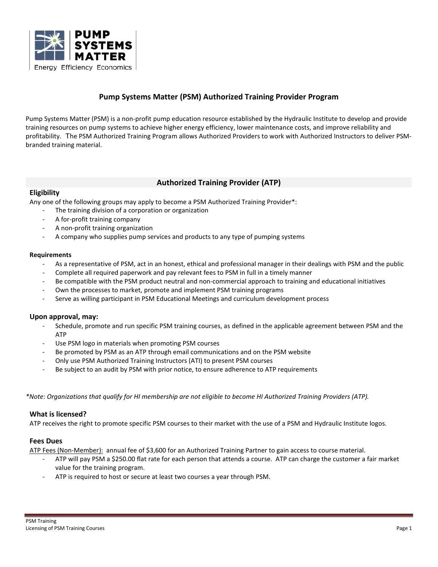

# **Pump Systems Matter (PSM) Authorized Training Provider Program**

Pump Systems Matter (PSM) is a non-profit pump education resource established by the Hydraulic Institute to develop and provide training resources on pump systems to achieve higher energy efficiency, lower maintenance costs, and improve reliability and profitability. The PSM Authorized Training Program allows Authorized Providers to work with Authorized Instructors to deliver PSMbranded training material.

## **Authorized Training Provider (ATP)**

## **Eligibility**

Any one of the following groups may apply to become a PSM Authorized Training Provider\*:

- The training division of a corporation or organization
- A for-profit training company
- A non-profit training organization
- A company who supplies pump services and products to any type of pumping systems

### **Requirements**

- As a representative of PSM, act in an honest, ethical and professional manager in their dealings with PSM and the public
- Complete all required paperwork and pay relevant fees to PSM in full in a timely manner
- Be compatible with the PSM product neutral and non-commercial approach to training and educational initiatives
- Own the processes to market, promote and implement PSM training programs
- Serve as willing participant in PSM Educational Meetings and curriculum development process

## **Upon approval, may:**

- Schedule, promote and run specific PSM training courses, as defined in the applicable agreement between PSM and the ATP
- Use PSM logo in materials when promoting PSM courses
- Be promoted by PSM as an ATP through email communications and on the PSM website
- Only use PSM Authorized Training Instructors (ATI) to present PSM courses
- Be subject to an audit by PSM with prior notice, to ensure adherence to ATP requirements

*\*Note: Organizations that qualify for HI membership are not eligible to become HI Authorized Training Providers (ATP).*

### **What is licensed?**

ATP receives the right to promote specific PSM courses to their market with the use of a PSM and Hydraulic Institute logos.

## **Fees Dues**

ATP Fees (Non-Member): annual fee of \$3,600 for an Authorized Training Partner to gain access to course material.

- ATP will pay PSM a \$250.00 flat rate for each person that attends a course. ATP can charge the customer a fair market value for the training program.
- ATP is required to host or secure at least two courses a year through PSM.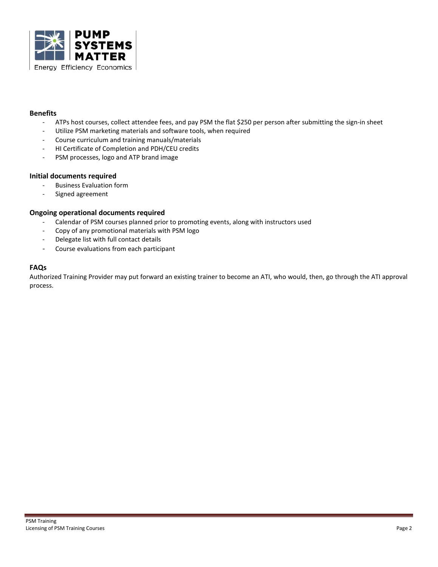

### **Benefits**

- ATPs host courses, collect attendee fees, and pay PSM the flat \$250 per person after submitting the sign-in sheet
- Utilize PSM marketing materials and software tools, when required
- Course curriculum and training manuals/materials
- HI Certificate of Completion and PDH/CEU credits
- PSM processes, logo and ATP brand image

#### **Initial documents required**

- Business Evaluation form
- Signed agreement

### **Ongoing operational documents required**

- Calendar of PSM courses planned prior to promoting events, along with instructors used
- Copy of any promotional materials with PSM logo
- Delegate list with full contact details
- Course evaluations from each participant

## **FAQs**

Authorized Training Provider may put forward an existing trainer to become an ATI, who would, then, go through the ATI approval process.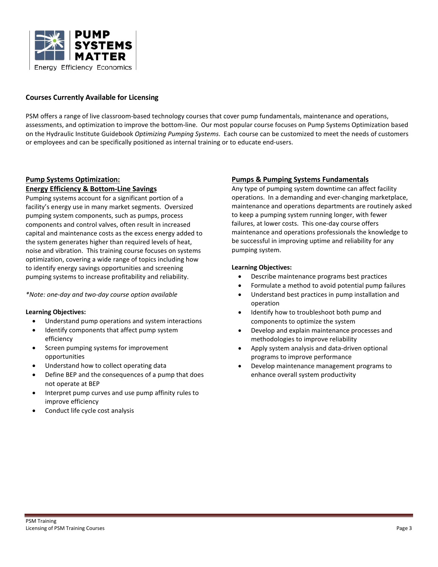

### **Courses Currently Available for Licensing**

PSM offers a range of live classroom-based technology courses that cover pump fundamentals, maintenance and operations, assessments, and optimization to improve the bottom-line. Our most popular course focuses on Pump Systems Optimization based on the Hydraulic Institute Guidebook *Optimizing Pumping Systems*. Each course can be customized to meet the needs of customers or employees and can be specifically positioned as internal training or to educate end-users.

### **Pump Systems Optimization: Energy Efficiency & Bottom-Line Savings**

Pumping systems account for a significant portion of a facility's energy use in many market segments. Oversized pumping system components, such as pumps, process components and control valves, often result in increased capital and maintenance costs as the excess energy added to the system generates higher than required levels of heat, noise and vibration. This training course focuses on systems optimization, covering a wide range of topics including how to identify energy savings opportunities and screening pumping systems to increase profitability and reliability.

*\*Note: one-day and two-day course option available*

### **Learning Objectives:**

- Understand pump operations and system interactions
- Identify components that affect pump system efficiency
- Screen pumping systems for improvement opportunities
- Understand how to collect operating data
- Define BEP and the consequences of a pump that does not operate at BEP
- Interpret pump curves and use pump affinity rules to improve efficiency
- Conduct life cycle cost analysis

## **Pumps & Pumping Systems Fundamentals**

Any type of pumping system downtime can affect facility operations. In a demanding and ever-changing marketplace, maintenance and operations departments are routinely asked to keep a pumping system running longer, with fewer failures, at lower costs. This one-day course offers maintenance and operations professionals the knowledge to be successful in improving uptime and reliability for any pumping system.

#### **Learning Objectives:**

- Describe maintenance programs best practices
- Formulate a method to avoid potential pump failures
- Understand best practices in pump installation and operation
- Identify how to troubleshoot both pump and components to optimize the system
- Develop and explain maintenance processes and methodologies to improve reliability
- Apply system analysis and data-driven optional programs to improve performance
- Develop maintenance management programs to enhance overall system productivity